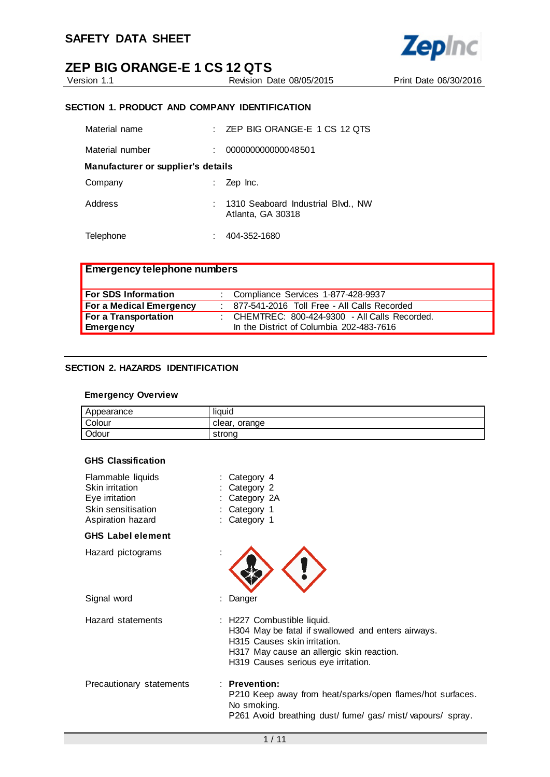

Version 1.1 Revision Date 08/05/2015 Print Date 06/30/2016

**Zepinc** 

#### **SECTION 1. PRODUCT AND COMPANY IDENTIFICATION**

| Material name                      |  | ZEP BIG ORANGE-E 1 CS 12 QTS                            |  |  |  |
|------------------------------------|--|---------------------------------------------------------|--|--|--|
| Material number                    |  | 000000000000048501                                      |  |  |  |
| Manufacturer or supplier's details |  |                                                         |  |  |  |
| Company                            |  | Zep Inc.                                                |  |  |  |
| Address                            |  | 1310 Seaboard Industrial Blvd., NW<br>Atlanta, GA 30318 |  |  |  |
| Telephone                          |  | 404-352-1680                                            |  |  |  |

| <b>Emergency telephone numbers</b> |                                                                                            |  |
|------------------------------------|--------------------------------------------------------------------------------------------|--|
| For SDS Information                | : Compliance Services 1-877-428-9937                                                       |  |
| For a Medical Emergency            | : 877-541-2016 Toll Free - All Calls Recorded                                              |  |
| For a Transportation<br>Emergency  | : CHEMTREC: 800-424-9300 - All Calls Recorded.<br>In the District of Columbia 202-483-7616 |  |

#### **SECTION 2. HAZARDS IDENTIFICATION**

#### **Emergency Overview**

| Appearance | liauid           |
|------------|------------------|
| Colour     | orange<br>clear. |
| Odour      | strona           |

#### **GHS Classification**

| Flammable liquids<br>Skin irritation<br>Eye irritation<br>Skin sensitisation<br>Aspiration hazard | Category 4<br>Category 2<br>Category 2A<br>Category 1<br>: Category 1                                                                                                                                |
|---------------------------------------------------------------------------------------------------|------------------------------------------------------------------------------------------------------------------------------------------------------------------------------------------------------|
| <b>GHS Label element</b>                                                                          |                                                                                                                                                                                                      |
| Hazard pictograms                                                                                 |                                                                                                                                                                                                      |
| Signal word                                                                                       | Danger                                                                                                                                                                                               |
| Hazard statements                                                                                 | : H227 Combustible liquid.<br>H304 May be fatal if swallowed and enters airways.<br>H315 Causes skin irritation.<br>H317 May cause an allergic skin reaction.<br>H319 Causes serious eye irritation. |
| Precautionary statements                                                                          | $:$ Prevention:<br>P210 Keep away from heat/sparks/open flames/hot surfaces.<br>No smoking.<br>P261 Avoid breathing dust/fume/gas/mist/vapours/spray.                                                |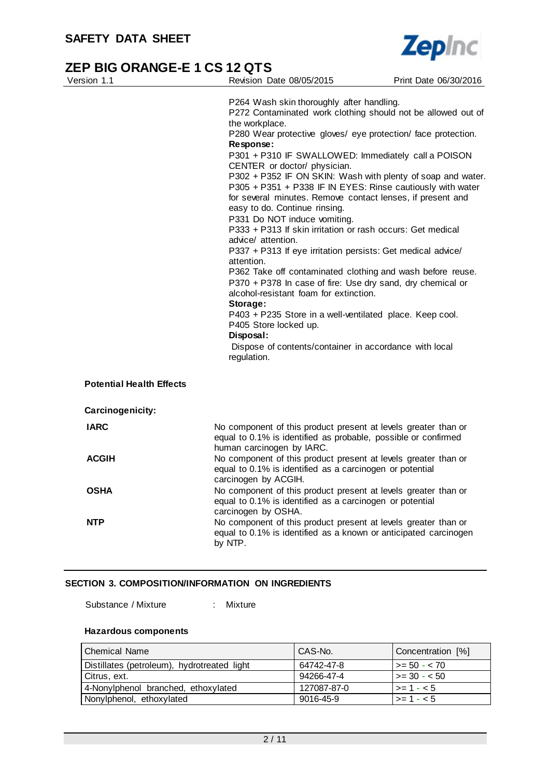

| Version 1.1                     | Revision Date 08/05/2015                                                                                                                                                                                                                                                                                                                                                                                                                                                                                                                                                                                                                                                                                                                                                                                                                                                                                                                                                                                                                                                                   | Print Date 06/30/2016 |  |  |  |
|---------------------------------|--------------------------------------------------------------------------------------------------------------------------------------------------------------------------------------------------------------------------------------------------------------------------------------------------------------------------------------------------------------------------------------------------------------------------------------------------------------------------------------------------------------------------------------------------------------------------------------------------------------------------------------------------------------------------------------------------------------------------------------------------------------------------------------------------------------------------------------------------------------------------------------------------------------------------------------------------------------------------------------------------------------------------------------------------------------------------------------------|-----------------------|--|--|--|
|                                 | P264 Wash skin thoroughly after handling.<br>P272 Contaminated work clothing should not be allowed out of<br>the workplace.<br>P280 Wear protective gloves/ eye protection/ face protection.<br>Response:<br>P301 + P310 IF SWALLOWED: Immediately call a POISON<br>CENTER or doctor/ physician.<br>P302 + P352 IF ON SKIN: Wash with plenty of soap and water.<br>P305 + P351 + P338 IF IN EYES: Rinse cautiously with water<br>for several minutes. Remove contact lenses, if present and<br>easy to do. Continue rinsing.<br>P331 Do NOT induce vomiting.<br>P333 + P313 If skin irritation or rash occurs: Get medical<br>advice/ attention.<br>P337 + P313 If eye irritation persists: Get medical advice/<br>attention.<br>P362 Take off contaminated clothing and wash before reuse.<br>P370 + P378 In case of fire: Use dry sand, dry chemical or<br>alcohol-resistant foam for extinction.<br>Storage:<br>P403 + P235 Store in a well-ventilated place. Keep cool.<br>P405 Store locked up.<br>Disposal:<br>Dispose of contents/container in accordance with local<br>regulation. |                       |  |  |  |
| <b>Potential Health Effects</b> |                                                                                                                                                                                                                                                                                                                                                                                                                                                                                                                                                                                                                                                                                                                                                                                                                                                                                                                                                                                                                                                                                            |                       |  |  |  |
| Carcinogenicity:                |                                                                                                                                                                                                                                                                                                                                                                                                                                                                                                                                                                                                                                                                                                                                                                                                                                                                                                                                                                                                                                                                                            |                       |  |  |  |
| <b>IARC</b>                     | No component of this product present at levels greater than or<br>equal to 0.1% is identified as probable, possible or confirmed<br>human carcinogen by IARC.                                                                                                                                                                                                                                                                                                                                                                                                                                                                                                                                                                                                                                                                                                                                                                                                                                                                                                                              |                       |  |  |  |
| <b>ACGIH</b>                    | No component of this product present at levels greater than or<br>equal to 0.1% is identified as a carcinogen or potential<br>carcinogen by ACGIH.                                                                                                                                                                                                                                                                                                                                                                                                                                                                                                                                                                                                                                                                                                                                                                                                                                                                                                                                         |                       |  |  |  |
| OSHA                            | No component of this product present at levels greater than or<br>equal to 0.1% is identified as a carcinogen or potential<br>carcinogen by OSHA.                                                                                                                                                                                                                                                                                                                                                                                                                                                                                                                                                                                                                                                                                                                                                                                                                                                                                                                                          |                       |  |  |  |
| <b>NTP</b>                      | No component of this product present at levels greater than or<br>equal to 0.1% is identified as a known or anticipated carcinogen<br>by NTP.                                                                                                                                                                                                                                                                                                                                                                                                                                                                                                                                                                                                                                                                                                                                                                                                                                                                                                                                              |                       |  |  |  |

### **SECTION 3. COMPOSITION/INFORMATION ON INGREDIENTS**

Substance / Mixture : Mixture

#### **Hazardous components**

| l Chemical Name                             | CAS-No.     | Concentration [%]    |
|---------------------------------------------|-------------|----------------------|
| Distillates (petroleum), hydrotreated light | 64742-47-8  | $\vert$ >= 50 - < 70 |
| Citrus, ext.                                | 94266-47-4  | $\vert$ >= 30 - < 50 |
| 4-Nonylphenol branched, ethoxylated         | 127087-87-0 | $ >= 1 - < 5$        |
| Nonylphenol, ethoxylated                    | 9016-45-9   | $ >= 1 - < 5$        |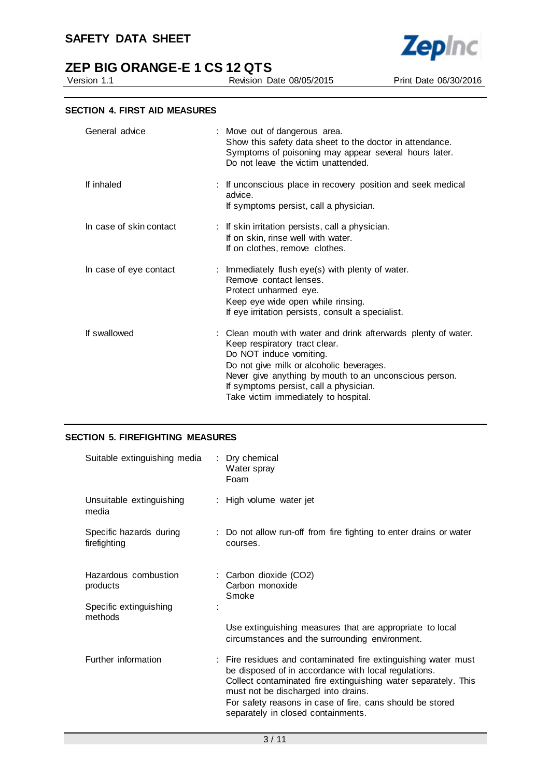



Version 1.1 Revision Date 08/05/2015 Print Date 06/30/2016

**Zepinc** 

#### **SECTION 4. FIRST AID MEASURES**

| General advice          | : Move out of dangerous area.<br>Show this safety data sheet to the doctor in attendance.<br>Symptoms of poisoning may appear several hours later.<br>Do not leave the victim unattended.                                                                                                                          |
|-------------------------|--------------------------------------------------------------------------------------------------------------------------------------------------------------------------------------------------------------------------------------------------------------------------------------------------------------------|
| If inhaled              | : If unconscious place in recovery position and seek medical<br>advice.<br>If symptoms persist, call a physician.                                                                                                                                                                                                  |
| In case of skin contact | : If skin irritation persists, call a physician.<br>If on skin, rinse well with water.<br>If on clothes, remove clothes.                                                                                                                                                                                           |
| In case of eye contact  | : Immediately flush eye(s) with plenty of water.<br>Remove contact lenses.<br>Protect unharmed eye.<br>Keep eye wide open while rinsing.<br>If eye irritation persists, consult a specialist.                                                                                                                      |
| If swallowed            | : Clean mouth with water and drink afterwards plenty of water.<br>Keep respiratory tract clear.<br>Do NOT induce vomiting.<br>Do not give milk or alcoholic beverages.<br>Never give anything by mouth to an unconscious person.<br>If symptoms persist, call a physician.<br>Take victim immediately to hospital. |

#### **SECTION 5. FIREFIGHTING MEASURES**

| Suitable extinguishing media            | : Dry chemical<br>Water spray<br>Foam                                                                                                                                                                                                                                                                                              |
|-----------------------------------------|------------------------------------------------------------------------------------------------------------------------------------------------------------------------------------------------------------------------------------------------------------------------------------------------------------------------------------|
| Unsuitable extinguishing<br>media       | : High volume water jet                                                                                                                                                                                                                                                                                                            |
| Specific hazards during<br>firefighting | : Do not allow run-off from fire fighting to enter drains or water<br>courses.                                                                                                                                                                                                                                                     |
| Hazardous combustion<br>products        | : Carbon dioxide (CO2)<br>Carbon monoxide<br>Smoke                                                                                                                                                                                                                                                                                 |
| Specific extinguishing<br>methods       | Use extinguishing measures that are appropriate to local<br>circumstances and the surrounding environment.                                                                                                                                                                                                                         |
| Further information                     | : Fire residues and contaminated fire extinguishing water must<br>be disposed of in accordance with local regulations.<br>Collect contaminated fire extinguishing water separately. This<br>must not be discharged into drains.<br>For safety reasons in case of fire, cans should be stored<br>separately in closed containments. |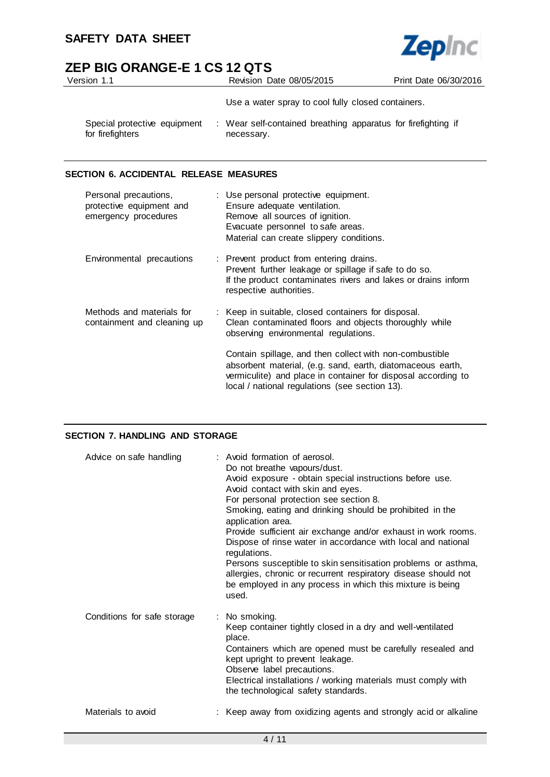

| Version 1.1                                      | Revision Date 08/05/2015                                                    | Print Date 06/30/2016 |
|--------------------------------------------------|-----------------------------------------------------------------------------|-----------------------|
|                                                  | Use a water spray to cool fully closed containers.                          |                       |
| Special protective equipment<br>for firefighters | : Wear self-contained breathing apparatus for firefighting if<br>necessary. |                       |

#### **SECTION 6. ACCIDENTAL RELEASE MEASURES**

| Personal precautions,<br>protective equipment and<br>emergency procedures | : Use personal protective equipment.<br>Ensure adequate ventilation.<br>Remove all sources of ignition.<br>Evacuate personnel to safe areas.<br>Material can create slippery conditions.                                                 |
|---------------------------------------------------------------------------|------------------------------------------------------------------------------------------------------------------------------------------------------------------------------------------------------------------------------------------|
| Environmental precautions                                                 | : Prevent product from entering drains.<br>Prevent further leakage or spillage if safe to do so.<br>If the product contaminates rivers and lakes or drains inform<br>respective authorities.                                             |
| Methods and materials for<br>containment and cleaning up                  | : Keep in suitable, closed containers for disposal.<br>Clean contaminated floors and objects thoroughly while<br>observing environmental regulations.                                                                                    |
|                                                                           | Contain spillage, and then collect with non-combustible<br>absorbent material, (e.g. sand, earth, diatomaceous earth,<br>vermiculite) and place in container for disposal according to<br>local / national regulations (see section 13). |

#### **SECTION 7. HANDLING AND STORAGE**

| Advice on safe handling     | : Avoid formation of aerosol.<br>Do not breathe vapours/dust.<br>Avoid exposure - obtain special instructions before use.<br>Avoid contact with skin and eyes.<br>For personal protection see section 8.<br>Smoking, eating and drinking should be prohibited in the<br>application area.<br>Provide sufficient air exchange and/or exhaust in work rooms.<br>Dispose of rinse water in accordance with local and national<br>regulations.<br>Persons susceptible to skin sensitisation problems or asthma,<br>allergies, chronic or recurrent respiratory disease should not<br>be employed in any process in which this mixture is being<br>used. |
|-----------------------------|-----------------------------------------------------------------------------------------------------------------------------------------------------------------------------------------------------------------------------------------------------------------------------------------------------------------------------------------------------------------------------------------------------------------------------------------------------------------------------------------------------------------------------------------------------------------------------------------------------------------------------------------------------|
| Conditions for safe storage | : No smoking.<br>Keep container tightly closed in a dry and well-ventilated<br>place.<br>Containers which are opened must be carefully resealed and<br>kept upright to prevent leakage.<br>Observe label precautions.<br>Electrical installations / working materials must comply with<br>the technological safety standards.                                                                                                                                                                                                                                                                                                                       |
| Materials to avoid          | : Keep away from oxidizing agents and strongly acid or alkaline                                                                                                                                                                                                                                                                                                                                                                                                                                                                                                                                                                                     |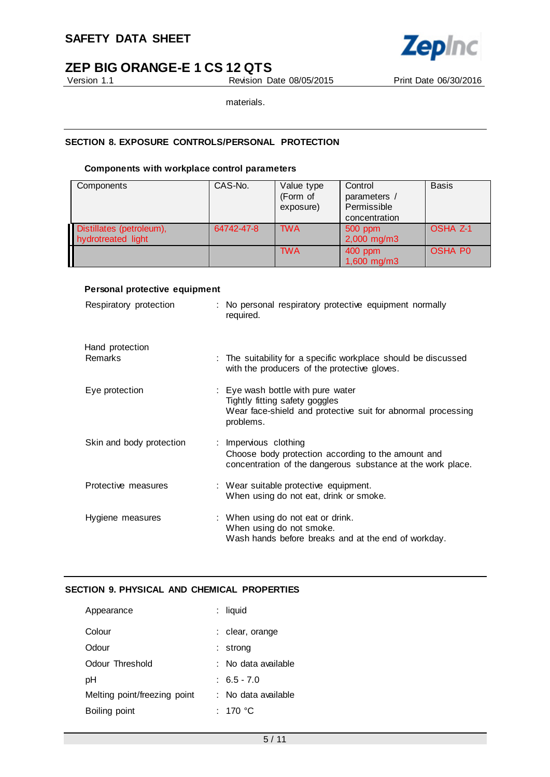

Version 1.1 Revision Date 08/05/2015 Print Date 06/30/2016

materials.

#### **SECTION 8. EXPOSURE CONTROLS/PERSONAL PROTECTION**

#### **Components with workplace control parameters**

| Components                                     | CAS-No.    | Value type<br>(Form of<br>exposure) | Control<br>parameters /<br>Permissible<br>concentration | <b>Basis</b>        |
|------------------------------------------------|------------|-------------------------------------|---------------------------------------------------------|---------------------|
| Distillates (petroleum),<br>hydrotreated light | 64742-47-8 | <b>TWA</b>                          | 500 ppm<br>$2,000$ mg/m3                                | OSHA <sub>Z-1</sub> |
|                                                |            | <b>TWA</b>                          | 400 ppm<br>1,600 mg/m3                                  | <b>OSHA PO</b>      |

#### **Personal protective equipment**

| Respiratory protection            | : No personal respiratory protective equipment normally<br>required.                                                                             |
|-----------------------------------|--------------------------------------------------------------------------------------------------------------------------------------------------|
| Hand protection<br><b>Remarks</b> | : The suitability for a specific workplace should be discussed<br>with the producers of the protective gloves.                                   |
| Eye protection                    | : Eye wash bottle with pure water<br>Tightly fitting safety goggles<br>Wear face-shield and protective suit for abnormal processing<br>problems. |
| Skin and body protection          | : Impervious clothing<br>Choose body protection according to the amount and<br>concentration of the dangerous substance at the work place.       |
| Protective measures               | : Wear suitable protective equipment.<br>When using do not eat, drink or smoke.                                                                  |
| Hygiene measures                  | : When using do not eat or drink.<br>When using do not smoke.<br>Wash hands before breaks and at the end of workday.                             |

#### **SECTION 9. PHYSICAL AND CHEMICAL PROPERTIES**

| Appearance                   | : liquid            |
|------------------------------|---------------------|
| Colour                       | : clear, orange     |
| Odour                        | strong              |
| Odour Threshold              | ∶ No data available |
| рH                           | $: 6.5 - 7.0$       |
| Melting point/freezing point | : No data available |
| Boiling point                | : 170 °C            |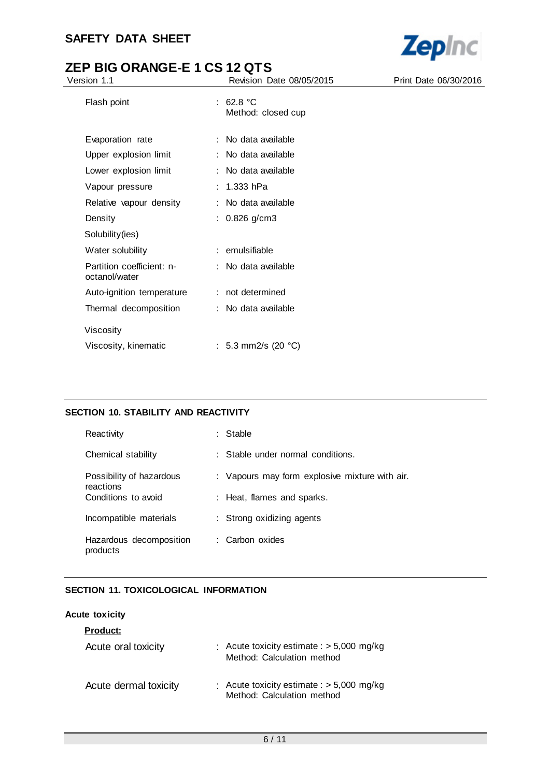

| Version 1.1                                | Revision Date 08/05/2015          | Print Date 06/30/2016 |
|--------------------------------------------|-----------------------------------|-----------------------|
| Flash point                                | : $62.8 °C$<br>Method: closed cup |                       |
| Evaporation rate                           | : No data available               |                       |
| Upper explosion limit                      | : No data available               |                       |
| Lower explosion limit                      | : No data available               |                       |
| Vapour pressure                            | : $1.333$ hPa                     |                       |
| Relative vapour density                    | : No data available               |                       |
| Density                                    | : $0.826$ g/cm3                   |                       |
| Solubility(ies)                            |                                   |                       |
| Water solubility                           | : emulsifiable                    |                       |
| Partition coefficient: n-<br>octanol/water | : No data available               |                       |
| Auto-ignition temperature                  | : not determined                  |                       |
| Thermal decomposition                      | : No data available               |                       |
| Viscosity                                  |                                   |                       |
| Viscosity, kinematic                       | : 5.3 mm2/s (20 $^{\circ}$ C)     |                       |

#### **SECTION 10. STABILITY AND REACTIVITY**

| Reactivity                            | : Stable                                       |
|---------------------------------------|------------------------------------------------|
| Chemical stability                    | : Stable under normal conditions.              |
| Possibility of hazardous<br>reactions | : Vapours may form explosive mixture with air. |
| Conditions to avoid                   | : Heat, flames and sparks.                     |
| Incompatible materials                | : Strong oxidizing agents                      |
| Hazardous decomposition<br>products   | : Carbon oxides                                |

#### **SECTION 11. TOXICOLOGICAL INFORMATION**

#### **Acute toxicity**

| <b>Product:</b>       |                                                                           |
|-----------------------|---------------------------------------------------------------------------|
| Acute oral toxicity   | : Acute toxicity estimate : $> 5,000$ mg/kg<br>Method: Calculation method |
| Acute dermal toxicity | : Acute toxicity estimate : $> 5,000$ mg/kg<br>Method: Calculation method |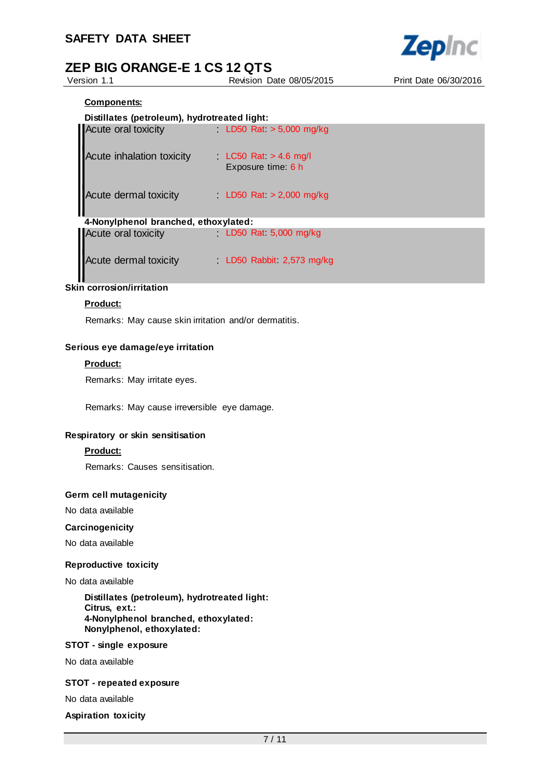

Version 1.1 Revision Date 08/05/2015 Print Date 06/30/2016

#### **Components:**

| Acute oral toxicity                  | LD50 Rat $> 5,000$ mg/kg                      |
|--------------------------------------|-----------------------------------------------|
| Acute inhalation toxicity            | $LC50$ Rat $> 4.6$ mg/l<br>Exposure time: 6 h |
| Acute dermal toxicity                | LD50 Rat $> 2,000$ mg/kg                      |
| 4-Nonylphenol branched, ethoxylated: |                                               |
| <b>Acute oral toxicity</b>           | LD50 Rat 5,000 mg/kg                          |
| Acute dermal toxicity                | LD50 Rabbit 2,573 mg/kg                       |

# **Skin corrosion/irritation**

#### **Product:**

Remarks: May cause skin irritation and/or dermatitis.

#### **Serious eye damage/eye irritation**

#### **Product:**

Remarks: May irritate eyes.

Remarks: May cause irreversible eye damage.

#### **Respiratory or skin sensitisation**

#### **Product:**

Remarks: Causes sensitisation.

#### **Germ cell mutagenicity**

No data available

#### **Carcinogenicity**

No data available

#### **Reproductive toxicity**

#### No data available

**Distillates (petroleum), hydrotreated light: Citrus, ext.: 4-Nonylphenol branched, ethoxylated: Nonylphenol, ethoxylated:**

#### **STOT - single exposure**

No data available

#### **STOT - repeated exposure**

No data available

**Aspiration toxicity**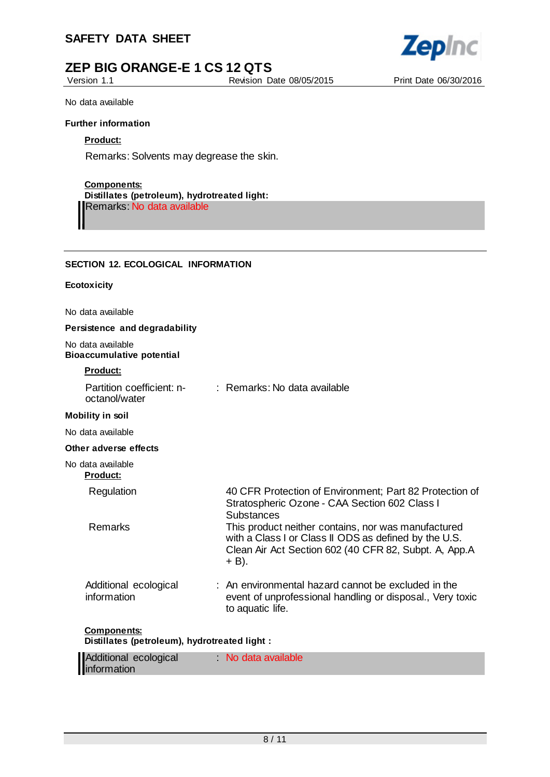## **SAFETY DATA SHEET**



Version 1.1 Revision Date 08/05/2015 Print Date 06/30/2016



No data available

#### **Further information**

#### **Product:**

Remarks: Solvents may degrease the skin.

#### **Components:**

#### **Distillates (petroleum), hydrotreated light:** Remarks: No data available

#### **SECTION 12. ECOLOGICAL INFORMATION**

#### **Ecotoxicity**

No data available

#### **Persistence and degradability**

No data available **Bioaccumulative potential**

#### **Product:**

|                                      | Partition coefficient: n-<br>octanol/water                          | : Remarks: No data available                                                                                                                                                   |
|--------------------------------------|---------------------------------------------------------------------|--------------------------------------------------------------------------------------------------------------------------------------------------------------------------------|
| <b>Mobility in soil</b>              |                                                                     |                                                                                                                                                                                |
| No data available                    |                                                                     |                                                                                                                                                                                |
|                                      | Other adverse effects                                               |                                                                                                                                                                                |
| No data available<br><u>Product:</u> |                                                                     |                                                                                                                                                                                |
|                                      | Regulation                                                          | 40 CFR Protection of Environment; Part 82 Protection of<br>Stratospheric Ozone - CAA Section 602 Class I<br>Substances                                                         |
|                                      | <b>Remarks</b>                                                      | This product neither contains, nor was manufactured<br>with a Class I or Class II ODS as defined by the U.S.<br>Clean Air Act Section 602 (40 CFR 82, Subpt. A, App.A<br>+ B). |
|                                      | Additional ecological<br>information                                | : An environmental hazard cannot be excluded in the<br>event of unprofessional handling or disposal., Very toxic<br>to aquatic life.                                           |
|                                      | <b>Components:</b><br>Distillates (petroleum), hydrotreated light : |                                                                                                                                                                                |

| Additional ecological | No data available |  |
|-----------------------|-------------------|--|
| information           |                   |  |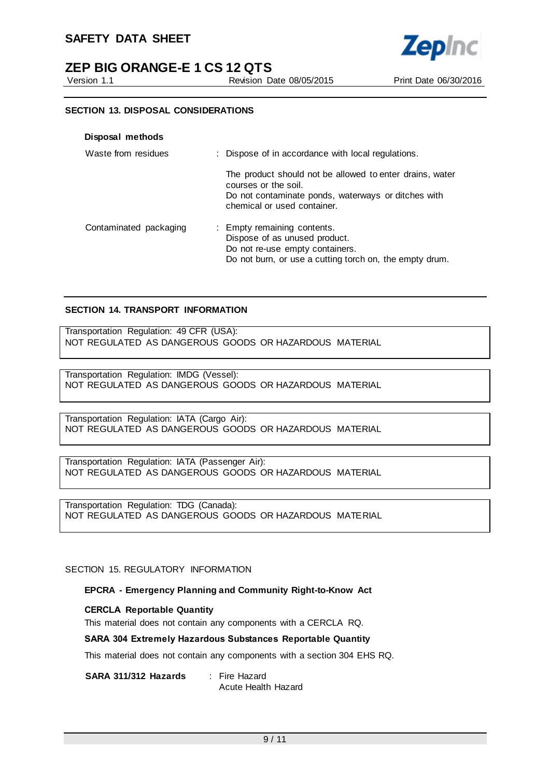

Version 1.1 Revision Date 08/05/2015 Print Date 06/30/2016

**Zepinc** 

#### **SECTION 13. DISPOSAL CONSIDERATIONS**

| Disposal methods       |                                                                                                                                                                        |
|------------------------|------------------------------------------------------------------------------------------------------------------------------------------------------------------------|
| Waste from residues    | : Dispose of in accordance with local regulations.                                                                                                                     |
|                        | The product should not be allowed to enter drains, water<br>courses or the soil.<br>Do not contaminate ponds, waterways or ditches with<br>chemical or used container. |
| Contaminated packaging | : Empty remaining contents.<br>Dispose of as unused product.<br>Do not re-use empty containers.<br>Do not burn, or use a cutting torch on, the empty drum.             |

#### **SECTION 14. TRANSPORT INFORMATION**

Transportation Regulation: 49 CFR (USA): NOT REGULATED AS DANGEROUS GOODS OR HAZARDOUS MATERIAL

Transportation Regulation: IMDG (Vessel): NOT REGULATED AS DANGEROUS GOODS OR HAZARDOUS MATERIAL

Transportation Regulation: IATA (Cargo Air): NOT REGULATED AS DANGEROUS GOODS OR HAZARDOUS MATERIAL

Transportation Regulation: IATA (Passenger Air): NOT REGULATED AS DANGEROUS GOODS OR HAZARDOUS MATERIAL

Transportation Regulation: TDG (Canada): NOT REGULATED AS DANGEROUS GOODS OR HAZARDOUS MATERIAL

SECTION 15. REGULATORY INFORMATION

#### **EPCRA - Emergency Planning and Community Right-to-Know Act**

#### **CERCLA Reportable Quantity**

This material does not contain any components with a CERCLA RQ.

#### **SARA 304 Extremely Hazardous Substances Reportable Quantity**

This material does not contain any components with a section 304 EHS RQ.

**SARA 311/312 Hazards** : Fire Hazard

Acute Health Hazard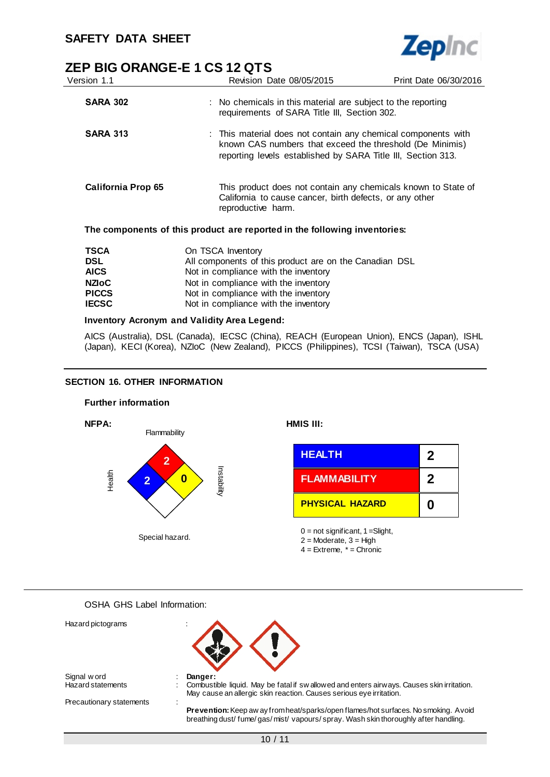

| ZEP BIG ORANGE-E 1 CS 12 QTS |                                                                                                                                                                                           |                       |
|------------------------------|-------------------------------------------------------------------------------------------------------------------------------------------------------------------------------------------|-----------------------|
| Version 1.1                  | Revision Date 08/05/2015                                                                                                                                                                  | Print Date 06/30/2016 |
| <b>SARA 302</b>              | : No chemicals in this material are subject to the reporting<br>requirements of SARA Title III, Section 302.                                                                              |                       |
| <b>SARA 313</b>              | : This material does not contain any chemical components with<br>known CAS numbers that exceed the threshold (De Minimis)<br>reporting levels established by SARA Title III, Section 313. |                       |
| <b>California Prop 65</b>    | This product does not contain any chemicals known to State of<br>California to cause cancer, birth defects, or any other<br>reproductive harm.                                            |                       |
|                              | The components of this product are reported in the following inventories:                                                                                                                 |                       |
| TSCA                         | On TSCA Inventory                                                                                                                                                                         |                       |

| <b>TSCA</b>  | On TSCA Inventory                                      |
|--------------|--------------------------------------------------------|
| <b>DSL</b>   | All components of this product are on the Canadian DSL |
| <b>AICS</b>  | Not in compliance with the inventory                   |
| <b>NZIoC</b> | Not in compliance with the inventory                   |
| <b>PICCS</b> | Not in compliance with the inventory                   |
| <b>IECSC</b> | Not in compliance with the inventory                   |
|              |                                                        |

#### **Inventory Acronym and Validity Area Legend:**

AICS (Australia), DSL (Canada), IECSC (China), REACH (European Union), ENCS (Japan), ISHL (Japan), KECI (Korea), NZIoC (New Zealand), PICCS (Philippines), TCSI (Taiwan), TSCA (USA)

#### **SECTION 16. OTHER INFORMATION**



OSHA GHS Label Information:

| Hazard pictograms        |                                                                                                                                                                         |
|--------------------------|-------------------------------------------------------------------------------------------------------------------------------------------------------------------------|
| Signal w ord             | Danger:                                                                                                                                                                 |
| <b>Hazard statements</b> | Combustible liquid. May be fatal if sw allowed and enters airways. Causes skin irritation.<br>May cause an allergic skin reaction. Causes serious eye irritation.       |
| Precautionary statements |                                                                                                                                                                         |
|                          | Prevention: Keep aw ay from heat/sparks/open flames/hot surfaces. No smoking. Avoid<br>breathing dust/fume/gas/mist/vapours/spray. Wash skin thoroughly after handling. |